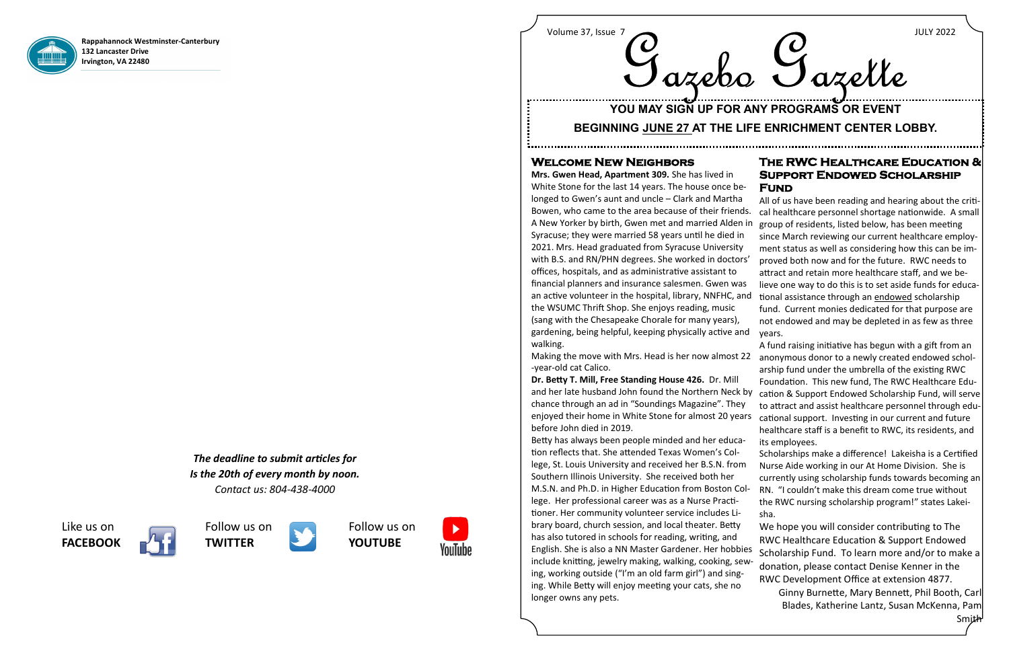

**Rappahannock Westminster-Canterbury 132 Lancaster Drive Irvington, VA 22480**

> *The deadline to submit articles for Is the 20th of every month by noon. Contact us: 804-438-4000*

# **Welcome New Neighbors**

**Mrs. Gwen Head, Apartment 309.** She has lived in White Stone for the last 14 years. The house once belonged to Gwen's aunt and uncle – Clark and Martha Bowen, who came to the area because of their friends. A New Yorker by birth, Gwen met and married Alden in Syracuse; they were married 58 years until he died in 2021. Mrs. Head graduated from Syracuse University with B.S. and RN/PHN degrees. She worked in doctors' offices, hospitals, and as administrative assistant to financial planners and insurance salesmen. Gwen was an active volunteer in the hospital, library, NNFHC, and the WSUMC Thrift Shop. She enjoys reading, music (sang with the Chesapeake Chorale for many years), gardening, being helpful, keeping physically active and walking. Making the move with Mrs. Head is her now almost 22 -year-old cat Calico. **Dr. Betty T. Mill, Free Standing House 426.** Dr. Mill and her late husband John found the Northern Neck by cation & Support Endowed Scholarship Fund, will serve chance through an ad in "Soundings Magazine". They enjoyed their home in White Stone for almost 20 years before John died in 2019. Betty has always been people minded and her education reflects that. She attended Texas Women's College, St. Louis University and received her B.S.N. from Southern Illinois University. She received both her M.S.N. and Ph.D. in Higher Education from Boston College. Her professional career was as a Nurse Practitioner. Her community volunteer service includes Library board, church session, and local theater. Betty has also tutored in schools for reading, writing, and English. She is also a NN Master Gardener. Her hobbies **Support Endowed Scholarship Fund**  All of us have been reading and hearing about the critical healthcare personnel shortage nationwide. A small group of residents, listed below, has been meeting since March reviewing our current healthcare employment status as well as considering how this can be improved both now and for the future. RWC needs to attract and retain more healthcare staff, and we believe one way to do this is to set aside funds for educational assistance through an endowed scholarship fund. Current monies dedicated for that purpose are not endowed and may be depleted in as few as three years. A fund raising initiative has begun with a gift from an anonymous donor to a newly created endowed scholarship fund under the umbrella of the existing RWC Foundation. This new fund, The RWC Healthcare Eduto attract and assist healthcare personnel through educational support. Investing in our current and future healthcare staff is a benefit to RWC, its residents, and its employees. Scholarships make a difference! Lakeisha is a Certified Nurse Aide working in our At Home Division. She is currently using scholarship funds towards becoming an RN. "I couldn't make this dream come true without the RWC nursing scholarship program!" states Lakeisha. We hope you will consider contributing to The RWC Healthcare Education & Support Endowed Scholarship Fund. To learn more and/or to make a

# Volume 37, Issue 7 JULY 2022 azelo Gazelle

# **The RWC Healthcare Education &**

include knitting, jewelry making, walking, cooking, sewing, working outside ("I'm an old farm girl") and singing. While Betty will enjoy meeting your cats, she no longer owns any pets. donation, please contact Denise Kenner in the RWC Development Office at extension 4877.

Ginny Burnette, Mary Bennett, Phil Booth, Carl Blades, Katherine Lantz, Susan McKenna, Pam Smith

Like us on **FACEBOOK** 







Follow us on **YOUTUBE**



# **YOU MAY SIGN UP FOR ANY PROGRAMS OR EVENT**

# **BEGINNING JUNE 27 AT THE LIFE ENRICHMENT CENTER LOBBY.**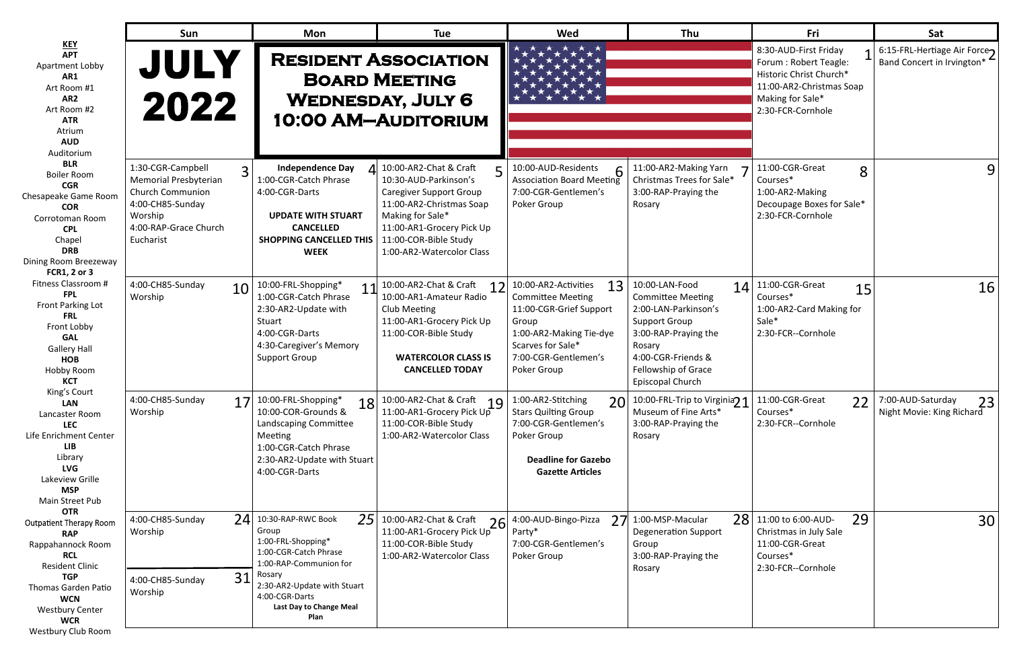|   | Fri                                                                                                                                                 | Sat                                                       |
|---|-----------------------------------------------------------------------------------------------------------------------------------------------------|-----------------------------------------------------------|
|   | 8:30-AUD-First Friday<br>1<br>Forum: Robert Teagle:<br>Historic Christ Church*<br>11:00-AR2-Christmas Soap<br>Making for Sale*<br>2:30-FCR-Cornhole | 6:15-FRL-Hertiage Air Force<br>Band Concert in Irvington* |
|   | 11:00-CGR-Great<br>8<br>Courses*<br>1:00-AR2-Making<br>Decoupage Boxes for Sale*<br>2:30-FCR-Cornhole                                               |                                                           |
| 4 | 11:00-CGR-Great<br>15<br>Courses*<br>1:00-AR2-Card Making for<br>Sale*<br>2:30-FCR--Cornhole                                                        | 16                                                        |
| 1 | 11:00-CGR-Great<br>22<br>Courses*<br>2:30-FCR--Cornhole                                                                                             | 7:00-AUD-Saturday<br>Night Movie: King Richard            |
| 8 | 29<br>11:00 to 6:00-AUD-<br>Christmas in July Sale<br>11:00-CGR-Great<br>Courses*<br>2:30-FCR--Cornhole                                             | 30                                                        |

|                                                                                                                                                                                                                                                 | Sun                                                                                                                                                          | <b>Mon</b>                                                                                                                                                                                                    | <b>Tue</b>                                                                                                                                                                                                                    | <b>Wed</b>                                                                                                                                                                        | Thu                                                                                                                                                                                           | Fri                                                                                                                                            | Sat                                                       |
|-------------------------------------------------------------------------------------------------------------------------------------------------------------------------------------------------------------------------------------------------|--------------------------------------------------------------------------------------------------------------------------------------------------------------|---------------------------------------------------------------------------------------------------------------------------------------------------------------------------------------------------------------|-------------------------------------------------------------------------------------------------------------------------------------------------------------------------------------------------------------------------------|-----------------------------------------------------------------------------------------------------------------------------------------------------------------------------------|-----------------------------------------------------------------------------------------------------------------------------------------------------------------------------------------------|------------------------------------------------------------------------------------------------------------------------------------------------|-----------------------------------------------------------|
| <u>KEY</u><br><b>APT</b><br>Apartment Lobby<br>AR1<br>Art Room #1<br>AR <sub>2</sub><br>Art Room #2<br><b>ATR</b><br>Atrium<br><b>AUD</b><br>Auditorium                                                                                         | <b>JULY</b><br>2022                                                                                                                                          |                                                                                                                                                                                                               | <b>RESIDENT ASSOCIATION</b><br><b>BOARD MEETING</b><br><b>WEDNESDAY, JULY 6</b><br><b>10:00 AM-AUDITORIUM</b>                                                                                                                 |                                                                                                                                                                                   |                                                                                                                                                                                               | 8:30-AUD-First Friday<br>Forum: Robert Teagle:<br>Historic Christ Church*<br>11:00-AR2-Christmas Soap<br>Making for Sale*<br>2:30-FCR-Cornhole | 6:15-FRL-Hertiage Air Force<br>Band Concert in Irvington* |
| <b>BLR</b><br><b>Boiler Room</b><br><b>CGR</b><br>Chesapeake Game Room<br><b>COR</b><br>Corrotoman Room<br><b>CPL</b><br>Chapel<br><b>DRB</b><br>Dining Room Breezeway<br><b>FCR1, 2 or 3</b>                                                   | 1:30-CGR-Campbell<br>$\overline{3}$<br>Memorial Presbyterian<br><b>Church Communion</b><br>4:00-CH85-Sunday<br>Worship<br>4:00-RAP-Grace Church<br>Eucharist | <b>Independence Day</b><br>1:00-CGR-Catch Phrase<br>4:00-CGR-Darts<br><b>UPDATE WITH STUART</b><br><b>CANCELLED</b><br><b>SHOPPING CANCELLED THIS</b><br><b>WEEK</b>                                          | $\Delta$ 10:00-AR2-Chat & Craft<br>10:30-AUD-Parkinson's<br><b>Caregiver Support Group</b><br>11:00-AR2-Christmas Soap<br>Making for Sale*<br>11:00-AR1-Grocery Pick Up<br>11:00-COR-Bible Study<br>1:00-AR2-Watercolor Class | 10:00-AUD-Residents<br>6<br>Association Board Meeting<br>7:00-CGR-Gentlemen's<br>Poker Group                                                                                      | 11:00-AR2-Making Yarn<br>Christmas Trees for Sale*<br>3:00-RAP-Praying the<br>Rosary                                                                                                          | 11:00-CGR-Great<br>8<br>Courses*<br>1:00-AR2-Making<br>Decoupage Boxes for Sale*<br>2:30-FCR-Cornhole                                          | 9                                                         |
| Fitness Classroom #<br><b>FPL</b><br>Front Parking Lot<br><b>FRL</b><br>Front Lobby<br><b>GAL</b><br><b>Gallery Hall</b><br><b>HOB</b><br>Hobby Room<br><b>KCT</b>                                                                              | 4:00-CH85-Sunday<br>10<br>Worship                                                                                                                            | 10:00-FRL-Shopping*<br>11<br>1:00-CGR-Catch Phrase<br>2:30-AR2-Update with<br>Stuart<br>4:00-CGR-Darts<br>4:30-Caregiver's Memory<br><b>Support Group</b>                                                     | 10:00-AR2-Chat & Craft<br>12<br>10:00-AR1-Amateur Radio<br>Club Meeting<br>11:00-AR1-Grocery Pick Up<br>11:00-COR-Bible Study<br><b>WATERCOLOR CLASS IS</b><br><b>CANCELLED TODAY</b>                                         | 13<br>10:00-AR2-Activities<br><b>Committee Meeting</b><br>11:00-CGR-Grief Support<br>Group<br>1:00-AR2-Making Tie-dye<br>Scarves for Sale*<br>7:00-CGR-Gentlemen's<br>Poker Group | 10:00-LAN-Food<br><b>Committee Meeting</b><br>2:00-LAN-Parkinson's<br><b>Support Group</b><br>3:00-RAP-Praying the<br>Rosary<br>4:00-CGR-Friends &<br>Fellowship of Grace<br>Episcopal Church | $14$ 11:00-CGR-Great<br>15<br>Courses*<br>1:00-AR2-Card Making for<br>Sale*<br>2:30-FCR--Cornhole                                              | 16                                                        |
| King's Court<br><b>LAN</b><br>Lancaster Room<br><b>LEC</b><br>Life Enrichment Center<br><b>LIB</b><br>Library<br><b>LVG</b><br>Lakeview Grille<br><b>MSP</b><br>Main Street Pub                                                                 | 4:00-CH85-Sunday<br>Worship                                                                                                                                  | 10:00-FRL-Shopping*<br>18<br>10:00-COR-Grounds &<br>Landscaping Committee<br>Meeting<br>1:00-CGR-Catch Phrase<br>2:30-AR2-Update with Stuart<br>4:00-CGR-Darts                                                | 10:00-AR2-Chat & Craft<br>10:00-AR2-Chat & Craft<br>11:00-AR1-Grocery Pick Up<br>11:00-COR-Bible Study<br>1:00-AR2-Watercolor Class                                                                                           | 1:00-AR2-Stitching<br>20<br><b>Stars Quilting Group</b><br>7:00-CGR-Gentlemen's<br>Poker Group<br><b>Deadline for Gazebo</b><br><b>Gazette Articles</b>                           | 10:00-FRL-Trip to Virginia <sub>21</sub><br>Museum of Fine Arts*<br>3:00-RAP-Praying the<br>Rosary                                                                                            | 11:00-CGR-Great<br>22<br>Courses*<br>2:30-FCR--Cornhole                                                                                        | 7:00-AUD-Saturday<br>23<br>Night Movie: King Richard      |
| <b>OTR</b><br><b>Outpatient Therapy Room</b><br><b>RAP</b><br>Rappahannock Room<br><b>RCL</b><br><b>Resident Clinic</b><br><b>TGP</b><br><b>Thomas Garden Patio</b><br><b>WCN</b><br><b>Westbury Center</b><br><b>WCR</b><br>Westbury Club Room | 4:00-CH85-Sunday<br>Worship<br>31<br>4:00-CH85-Sunday<br>Worship                                                                                             | $24$ 10:30-RAP-RWC Book<br>25<br>Group<br>1:00-FRL-Shopping*<br>1:00-CGR-Catch Phrase<br>1:00-RAP-Communion for<br>Rosary<br>2:30-AR2-Update with Stuart<br>4:00-CGR-Darts<br>Last Day to Change Meal<br>Plan | 10:00-AR2-Chat & Craft<br>26<br>11:00-AR1-Grocery Pick Up<br>11:00-COR-Bible Study<br>1:00-AR2-Watercolor Class                                                                                                               | 4:00-AUD-Bingo-Pizza<br>Party*<br>7:00-CGR-Gentlemen's<br>Poker Group                                                                                                             | <b>28</b><br>$27$ 1:00-MSP-Macular<br><b>Degeneration Support</b><br>Group<br>3:00-RAP-Praying the<br>Rosary                                                                                  | 29<br>11:00 to 6:00-AUD-<br>Christmas in July Sale<br>11:00-CGR-Great<br>Courses*<br>2:30-FCR--Cornhole                                        | 30                                                        |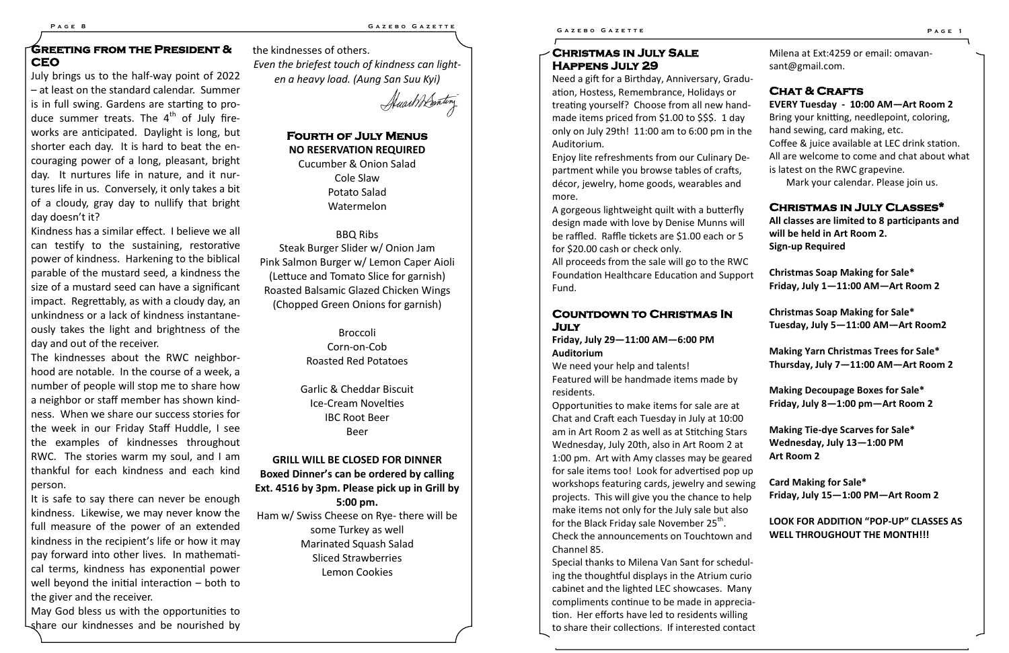# **Greeting from the President & CEO**

July brings us to the half-way point of 2022 – at least on the standard calendar. Summer is in full swing. Gardens are starting to produce summer treats. The  $4<sup>th</sup>$  of July fireworks are anticipated. Daylight is long, but shorter each day. It is hard to beat the encouraging power of a long, pleasant, bright day. It nurtures life in nature, and it nurtures life in us. Conversely, it only takes a bit of a cloudy, gray day to nullify that bright day doesn't it?

Kindness has a similar effect. I believe we all can testify to the sustaining, restorative power of kindness. Harkening to the biblical parable of the mustard seed, a kindness the size of a mustard seed can have a significant impact. Regrettably, as with a cloudy day, an unkindness or a lack of kindness instantaneously takes the light and brightness of the day and out of the receiver.

The kindnesses about the RWC neighborhood are notable. In the course of a week, a number of people will stop me to share how a neighbor or staff member has shown kindness. When we share our success stories for the week in our Friday Staff Huddle, I see the examples of kindnesses throughout RWC. The stories warm my soul, and I am thankful for each kindness and each kind person.

Need a gift for a Birthday, Anniversary, Grad ation, Hostess, Remembrance, Holidays or treating yourself? Choose from all new han made items priced from \$1.00 to \$\$\$. 1 day only on July 29th! 11:00 am to 6:00 pm in t Auditorium.

It is safe to say there can never be enough kindness. Likewise, we may never know the full measure of the power of an extended kindness in the recipient's life or how it may pay forward into other lives. In mathematical terms, kindness has exponential power well beyond the initial interaction – both to the giver and the receiver.

Enjoy lite refreshments from our Culinary D partment while you browse tables of crafts, décor, jewelry, home goods, wearables and more.

All proceeds from the sale will go to the RW Foundation Healthcare Education and Supp Fund.

May God bless us with the opportunities to share our kindnesses and be nourished by We need your help and talents! Featured will be handmade items made by residents.

Opportunities to make items for sale are at Chat and Craft each Tuesday in July at 10:00 am in Art Room 2 as well as at Stitching Star Wednesday, July 20th, also in Art Room 2 at 1:00 pm. Art with Amy classes may be gear for sale items too! Look for advertised pop workshops featuring cards, jewelry and sew projects. This will give you the chance to he make items not only for the July sale but also for the Black Friday sale November 25<sup>th</sup>. Check the announcements on Touchtown a

the kindnesses of others. *Even the briefest touch of kindness can lighten a heavy load. (Aung San Suu Kyi)*

Huart Bonting

# **Fourth of July Menus NO RESERVATION REQUIRED**

Cucumber & Onion Salad Cole Slaw Potato Salad Watermelon

## BBQ Ribs

Steak Burger Slider w/ Onion Jam Pink Salmon Burger w/ Lemon Caper Aioli (Lettuce and Tomato Slice for garnish) Roasted Balsamic Glazed Chicken Wings (Chopped Green Onions for garnish)

> Broccoli Corn-on-Cob Roasted Red Potatoes

Garlic & Cheddar Biscuit Ice-Cream Novelties IBC Root Beer Beer

## **GRILL WILL BE CLOSED FOR DINNER Boxed Dinner's can be ordered by calling**

**Ext. 4516 by 3pm. Please pick up in Grill by 5:00 pm.**

Ham w/ Swiss Cheese on Rye- there will be some Turkey as well Marinated Squash Salad Sliced Strawberries Lemon Cookies

# **Christmas in July Sale Happens July 29**

A gorgeous lightweight quilt with a butterfly design made with love by Denise Munns will be raffled. Raffle tickets are \$1.00 each or for \$20.00 cash or check only.

### **Countdown to Christmas In July**

#### **Friday, July 29—11:00 AM—6:00 PM Auditorium**

Channel 85.

Special thanks to Milena Van Sant for sched ing the thoughtful displays in the Atrium curriog cabinet and the lighted LEC showcases. Ma compliments continue to be made in appretion. Her efforts have led to residents willing to share their collections. If interested contact

|                                          | Milena at Ext:4259 or email: omavan-<br>sant@gmail.com.                                                                                                                                                                                                                                                                     |
|------------------------------------------|-----------------------------------------------------------------------------------------------------------------------------------------------------------------------------------------------------------------------------------------------------------------------------------------------------------------------------|
| du-<br>าd-<br>y<br>:he<br>e-             | <b>CHAT &amp; CRAFTS</b><br>EVERY Tuesday - 10:00 AM-Art Room 2<br>Bring your knitting, needlepoint, coloring,<br>hand sewing, card making, etc.<br>Coffee & juice available at LEC drink station.<br>All are welcome to come and chat about what<br>is latest on the RWC grapevine.<br>Mark your calendar. Please join us. |
| y<br>Ш<br>5                              | <b>CHRISTMAS IN JULY CLASSES*</b><br>All classes are limited to 8 participants and<br>will be held in Art Room 2.<br><b>Sign-up Required</b>                                                                                                                                                                                |
| IС<br>ort                                | Christmas Soap Making for Sale*<br>Friday, July 1-11:00 AM-Art Room 2                                                                                                                                                                                                                                                       |
|                                          | <b>Christmas Soap Making for Sale*</b><br>Tuesday, July 5-11:00 AM-Art Room2                                                                                                                                                                                                                                                |
|                                          | <b>Making Yarn Christmas Trees for Sale*</b><br>Thursday, July 7-11:00 AM-Art Room 2                                                                                                                                                                                                                                        |
|                                          | <b>Making Decoupage Boxes for Sale*</b><br>Friday, July 8-1:00 pm-Art Room 2                                                                                                                                                                                                                                                |
| C<br>rs<br>t<br>ed.                      | <b>Making Tie-dye Scarves for Sale*</b><br>Wednesday, July 13-1:00 PM<br><b>Art Room 2</b>                                                                                                                                                                                                                                  |
| up<br>ving<br>elp                        | <b>Card Making for Sale*</b><br>Friday, July 15-1:00 PM-Art Room 2                                                                                                                                                                                                                                                          |
| so<br>ınd                                | <b>LOOK FOR ADDITION "POP-UP" CLASSES AS</b><br><b>WELL THROUGHOUT THE MONTH!!!</b>                                                                                                                                                                                                                                         |
| lul-<br>rio<br>ıny<br>cia-<br>າg<br>tact |                                                                                                                                                                                                                                                                                                                             |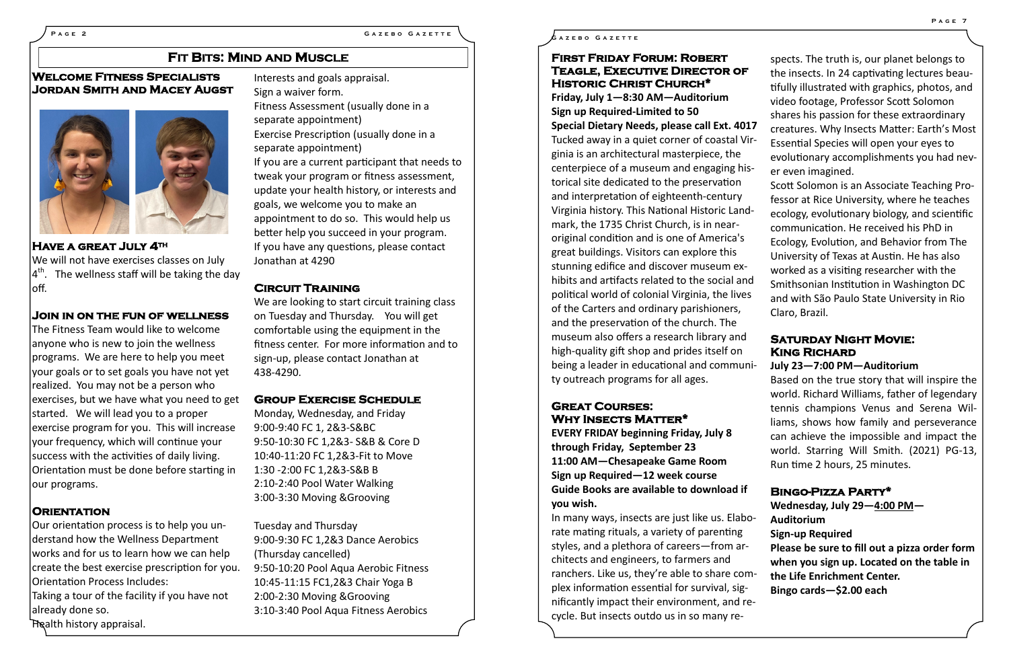### **PAGE 2 GAZEBO GAZETTE GAZEBO GAZETTE**

### **First Friday Forum: Robert Teagle, Executive Director of Historic Christ Church\***

**Friday, July 1—8:30 AM—Auditorium Sign up Required-Limited to 50 Special Dietary Needs, please call Ext. 4017** Tucked away in a quiet corner of coastal ' ginia is an architectural masterpiece, the centerpiece of a museum and engaging h torical site dedicated to the preservation and interpretation of eighteenth-century Virginia history. This National Historic Landmark, the 1735 Christ Church, is in nearoriginal condition and is one of America's great buildings. Visitors can explore this stunning edifice and discover museum exhibits and artifacts related to the social and political world of colonial Virginia, the live of the Carters and ordinary parishioners, and the preservation of the church. The museum also offers a research library and high-quality gift shop and prides itself on being a leader in educational and community outreach programs for all ages.

In many ways, insects are just like us. Elaborate mating rituals, a variety of parenting styles, and a plethora of careers-from architects and engineers, to farmers and ranchers. Like us, they're able to share co plex information essential for survival, significantly impact their environment, and cycle. But insects outdo us in so many re-

#### **Great Courses: Why Insects Matter\***

**EVERY FRIDAY beginning Friday, July 8 through Friday, September 23 11:00 AM—Chesapeake Game Room Sign up Required—12 week course Guide Books are available to download if you wish.**

**Have a great July 4th**  We will not have exercises classes on July  $4<sup>th</sup>$ . The wellness staff will be taking the day loff.

The Fitness Team would like to welcome anyone who is new to join the wellness programs. We are here to help you meet your goals or to set goals you have not yet realized. You may not be a person who exercises, but we have what you need to get started. We will lead you to a proper exercise program for you. This will increase your frequency, which will continue your success with the activities of daily living. Orientation must be done before starting in our programs.

|                  | spects. The truth is, our planet belongs to    |
|------------------|------------------------------------------------|
| F                | the insects. In 24 captivating lectures beau-  |
|                  | tifully illustrated with graphics, photos, and |
|                  | video footage, Professor Scott Solomon         |
|                  | shares his passion for these extraordinary     |
| 017              | creatures. Why Insects Matter: Earth's Most    |
| Vir-             | Essential Species will open your eyes to       |
|                  | evolutionary accomplishments you had nev-      |
| is-              | er even imagined.                              |
|                  | Scott Solomon is an Associate Teaching Pro-    |
|                  | fessor at Rice University, where he teaches    |
| าd-              | ecology, evolutionary biology, and scientific  |
|                  | communication. He received his PhD in          |
| 5                | Ecology, Evolution, and Behavior from The      |
|                  | University of Texas at Austin. He has also     |
| $\overline{(-)}$ | worked as a visiting researcher with the       |
| nd               | Smithsonian Institution in Washington DC       |
| es               | and with São Paulo State University in Rio     |
|                  | Claro, Brazil.                                 |
|                  |                                                |
| d                | <b>SATURDAY NIGHT MOVIE:</b>                   |
|                  | <b>KING RICHARD</b>                            |
| uni-             | July 23-7:00 PM-Auditorium                     |

We are looking to start circuit training class on Tuesday and Thursday. You will get comfortable using the equipment in the fitness center. For more information and to sign-up, please contact Jonathan at 438-4290.

Based on the true story that will inspire the world. Richard Williams, father of legendary tennis champions Venus and Serena Williams, shows how family and perseverance can achieve the impossible and impact the world. Starring Will Smith. (2021) PG-13, Run time 2 hours, 25 minutes.

#### **Bingo-Pizza Party\***

|     | Wednesday, July $29 - 4:00$ PM $-$            |
|-----|-----------------------------------------------|
| -pd | <b>Auditorium</b>                             |
|     | <b>Sign-up Required</b>                       |
| r-  | Please be sure to fill out a pizza order form |
|     | when you sign up. Located on the table in     |
| rm- | the Life Enrichment Center.                   |
| z-  | Bingo cards-\$2.00 each                       |
| re- |                                               |
|     |                                               |

# **Welcome Fitness Specialists Jordan Smith and Macey Augst**



#### **Join in on the fun of wellness**

#### **Orientation**

Our orientation process is to help you understand how the Wellness Department works and for us to learn how we can help create the best exercise prescription for you. Orientation Process Includes: Taking a tour of the facility if you have not already done so. Health history appraisal.

Interests and goals appraisal. Sign a waiver form. Fitness Assessment (usually done in a separate appointment) Exercise Prescription (usually done in a separate appointment) If you are a current participant that needs to tweak your program or fitness assessment, update your health history, or interests and goals, we welcome you to make an appointment to do so. This would help us better help you succeed in your program. If you have any questions, please contact Jonathan at 4290

#### **Circuit Training**

#### **Group Exercise Schedule**

Monday, Wednesday, and Friday 9:00-9:40 FC 1, 2&3-S&BC 9:50-10:30 FC 1,2&3- S&B & Core D 10:40-11:20 FC 1,2&3-Fit to Move 1:30 -2:00 FC 1,2&3-S&B B 2:10-2:40 Pool Water Walking 3:00-3:30 Moving &Grooving

Tuesday and Thursday 9:00-9:30 FC 1,2&3 Dance Aerobics (Thursday cancelled) 9:50-10:20 Pool Aqua Aerobic Fitness 10:45-11:15 FC1,2&3 Chair Yoga B 2:00-2:30 Moving &Grooving 3:10-3:40 Pool Aqua Fitness Aerobics

# **FIT BITS: MIND AND MUSCLE**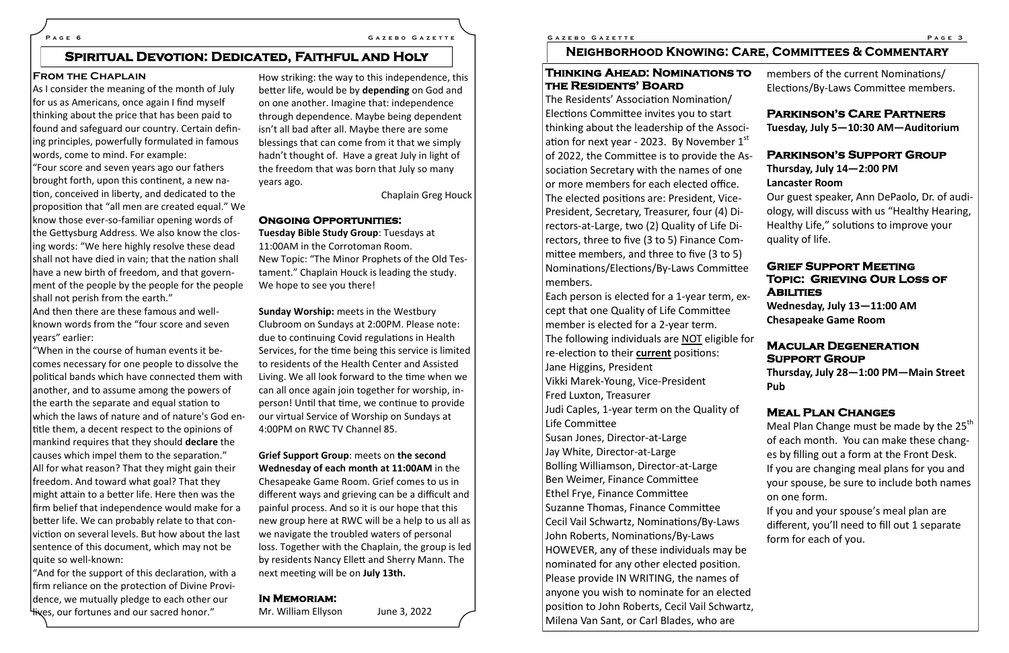#### **From the Chaplain**

As I consider the meaning of the month of July for us as Americans, once again I find myself thinking about the price that has been paid to found and safeguard our country. Certain defining principles, powerfully formulated in famous words, come to mind. For example:

"Four score and seven years ago our fathers brought forth, upon this continent, a new nation, conceived in liberty, and dedicated to the proposition that "all men are created equal." We know those ever-so-familiar opening words of the Gettysburg Address. We also know the closing words: "We here highly resolve these dead shall not have died in vain; that the nation shall have a new birth of freedom, and that government of the people by the people for the people shall not perish from the earth."

"And for the support of this declaration, with a firm reliance on the protection of Divine Providence, we mutually pledge to each other our **Hives, our fortunes and our sacred honor."** 

And then there are these famous and wellknown words from the "four score and seven years" earlier:

"When in the course of human events it becomes necessary for one people to dissolve the political bands which have connected them with another, and to assume among the powers of the earth the separate and equal station to which the laws of nature and of nature's God entitle them, a decent respect to the opinions of mankind requires that they should **declare** the causes which impel them to the separation." All for what reason? That they might gain their freedom. And toward what goal? That they might attain to a better life. Here then was the firm belief that independence would make for a better life. We can probably relate to that conviction on several levels. But how about the last sentence of this document, which may not be quite so well-known:

How striking: the way to this independence, this better life, would be by **depending** on God and on one another. Imagine that: independence through dependence. Maybe being dependent isn't all bad after all. Maybe there are some blessings that can come from it that we simply hadn't thought of. Have a great July in light of the freedom that was born that July so many years ago.

Chaplain Greg Houck

#### **Ongoing Opportunities:**

**Tuesday Bible Study Group**: Tuesdays at 11:00AM in the Corrotoman Room. New Topic: "The Minor Prophets of the Old Testament." Chaplain Houck is leading the study. We hope to see you there!

> Each person is elected for a 1-year term, except that one Quality of Life Committee member is elected for a 2-year term. The following individuals are NOT eligible re-election to their **current** positions: Jane Higgins, President Vikki Marek-Young, Vice-President Fred Luxton, Treasurer Judi Caples, 1-year term on the Quality of Life Committee Susan Jones, Director-at-Large Jay White, Director-at-Large Bolling Williamson, Director-at-Large Ben Weimer, Finance Committee Ethel Frye, Finance Committee Suzanne Thomas, Finance Committee Cecil Vail Schwartz, Nominations/By-Laws John Roberts, Nominations/By-Laws HOWEVER, any of these individuals may be nominated for any other elected position. Please provide IN WRITING, the names of anyone you wish to nominate for an elected position to John Roberts, Cecil Vail Schwartz, Milena Van Sant, or Carl Blades, who are

**Sunday Worship:** meets in the Westbury Clubroom on Sundays at 2:00PM. Please note: due to continuing Covid regulations in Health Services, for the time being this service is limited to residents of the Health Center and Assisted Living. We all look forward to the time when we can all once again join together for worship, inperson! Until that time, we continue to provide our virtual Service of Worship on Sundays at 4:00PM on RWC TV Channel 85.

**Grief Support Group**: meets on **the second Wednesday of each month at 11:00AM** in the Chesapeake Game Room. Grief comes to us in different ways and grieving can be a difficult and painful process. And so it is our hope that this new group here at RWC will be a help to us all as we navigate the troubled waters of personal loss. Together with the Chaplain, the group is led by residents Nancy Ellett and Sherry Mann. The next meeting will be on **July 13th.**

#### **In Memoriam:**

Mr. William Ellyson June 3, 2022

#### **P a g e 6 G a z e b o G a z e t t e G a z e b o G a z e t t e P a g e 3**

# **NEIGHBORHOOD KNOWING: C**

#### **Thinking Ahead: Nominations to the Residents' Board**

The Residents' Association Nomination/ Elections Committee invites you to start thinking about the leadership of the Association for next year - 2023. By November 1 of 2022, the Committee is to provide the A sociation Secretary with the names of one or more members for each elected office. The elected positions are: President, Vice-President, Secretary, Treasurer, four (4) Directors-at-Large, two (2) Quality of Life Directors, three to five (3 to 5) Finance Committee members, and three to five (3 to 5) Nominations/Elections/By-Laws Committee members.

|                     | ARE, COMMITTEES & COMMENTARY                                                                                                                                                                                                                                                                                                                                                                                 |
|---------------------|--------------------------------------------------------------------------------------------------------------------------------------------------------------------------------------------------------------------------------------------------------------------------------------------------------------------------------------------------------------------------------------------------------------|
| Ó                   | members of the current Nominations/<br>Elections/By-Laws Committee members.                                                                                                                                                                                                                                                                                                                                  |
| i-<br>$\mathsf{st}$ | <b>PARKINSON'S CARE PARTNERS</b><br>Tuesday, July 5-10:30 AM-Auditorium                                                                                                                                                                                                                                                                                                                                      |
| $\sqrt{S}$          | <b>PARKINSON'S SUPPORT GROUP</b><br>Thursday, July 14-2:00 PM<br><b>Lancaster Room</b><br>Our guest speaker, Ann DePaolo, Dr. of audi-<br>ology, will discuss with us "Healthy Hearing,<br>Healthy Life," solutions to improve your<br>quality of life.                                                                                                                                                      |
| e<br>$X-$           | <b>GRIEF SUPPORT MEETING</b><br><b>TOPIC: GRIEVING OUR LOSS OF</b><br><b>ABILITIES</b><br>Wednesday, July 13-11:00 AM<br><b>Chesapeake Game Room</b>                                                                                                                                                                                                                                                         |
| for                 | <b>MACULAR DEGENERATION</b><br><b>SUPPORT GROUP</b><br>Thursday, July 28-1:00 PM-Main Street<br>Pub                                                                                                                                                                                                                                                                                                          |
| e                   | <b>MEAL PLAN CHANGES</b><br>Meal Plan Change must be made by the 25 <sup>th</sup><br>of each month. You can make these chang-<br>es by filling out a form at the Front Desk.<br>If you are changing meal plans for you and<br>your spouse, be sure to include both names<br>on one form.<br>If you and your spouse's meal plan are<br>different, you'll need to fill out 1 separate<br>form for each of you. |
| א ב                 |                                                                                                                                                                                                                                                                                                                                                                                                              |

# **Spiritual Devotion: Dedicated, Faithful and Holy**